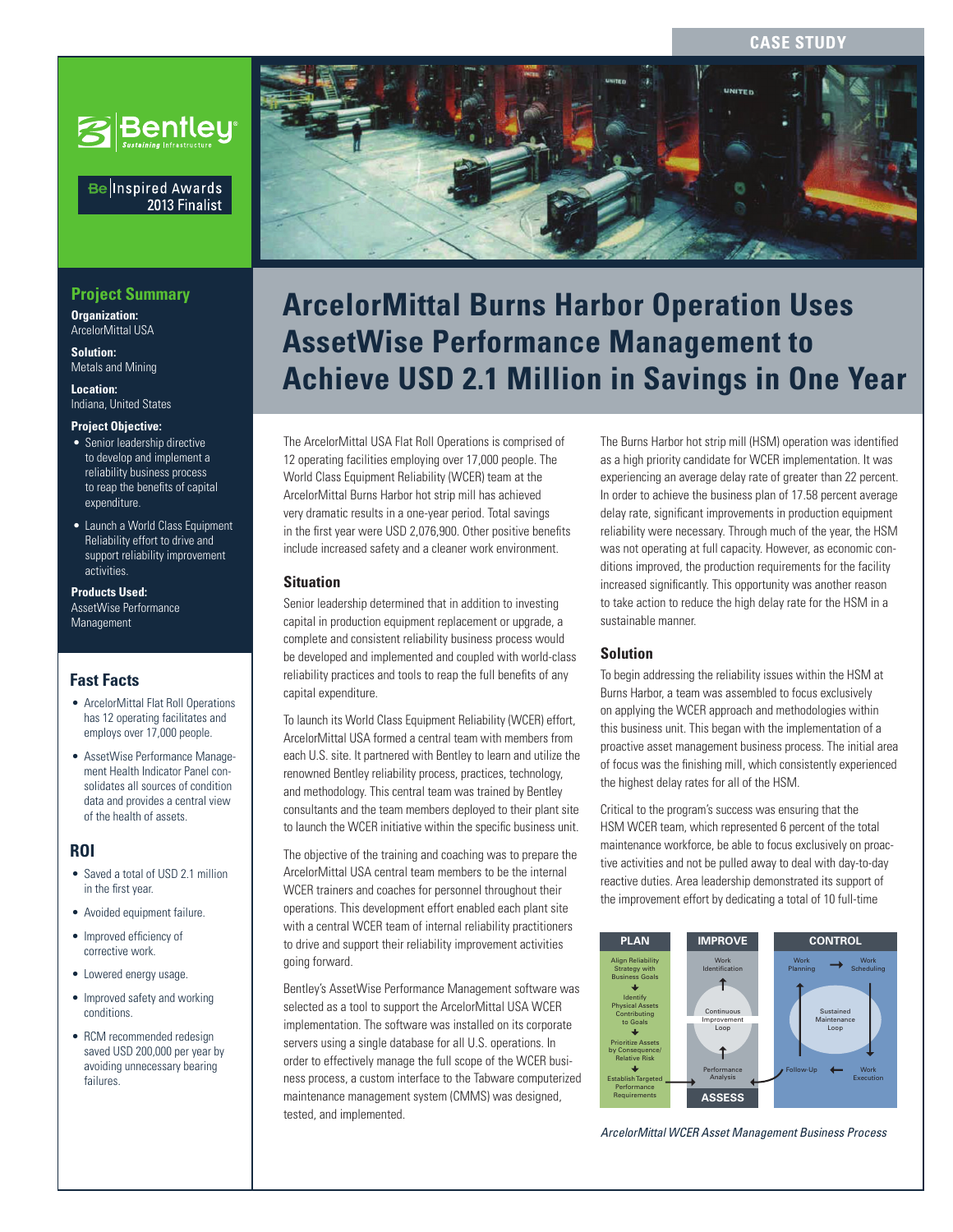# **CASE STUD**



### Be Inspired Awards 2013 Finalist

# **Project Summary**

**Organization:**  ArcelorMittal USA

**Solution:**  Metals and Mining

**Location:**  Indiana, United States

#### **Project Objective:**

- Senior leadership directive to develop and implement a reliability business process to reap the benefits of capital expenditure
- Launch a World Class Equipment Reliability effort to drive and support reliability improvement activities.

**Products Used:**

AssetWise Performance **Management** 

# **Fast Facts**

- ArcelorMittal Flat Roll Operations has 12 operating facilitates and employs over 17,000 people.
- AssetWise Performance Management Health Indicator Panel consolidates all sources of condition data and provides a central view of the health of assets.

# **ROI**

- Saved a total of USD 2.1 million in the first year.
- Avoided equipment failure.
- Improved efficiency of corrective work.
- Lowered energy usage.
- Improved safety and working conditions.
- RCM recommended redesign saved USD 200,000 per year by avoiding unnecessary bearing failures.



# **RepartMica Partor** Procedure to the design of civil infrastructure in the design of civil infrastructure in the design of civil in **ArcelorMittal Burns Harbor Operation Uses AssetWise Performance Management to Achieve USD 2.1 Million in Savings in One Year**

The ArcelorMittal USA Flat Roll Operations is comprised of 12 operating facilities employing over 17,000 people. The World Class Equipment Reliability (WCER) team at the ArcelorMittal Burns Harbor hot strip mill has achieved very dramatic results in a one-year period. Total savings in the first year were USD 2,076,900. Other positive benefits include increased safety and a cleaner work environment.

#### **Situation**

Senior leadership determined that in addition to investing capital in production equipment replacement or upgrade, a complete and consistent reliability business process would be developed and implemented and coupled with world-class reliability practices and tools to reap the full benefits of any capital expenditure.

To launch its World Class Equipment Reliability (WCER) effort, ArcelorMittal USA formed a central team with members from each U.S. site. It partnered with Bentley to learn and utilize the renowned Bentley reliability process, practices, technology, and methodology. This central team was trained by Bentley consultants and the team members deployed to their plant site to launch the WCER initiative within the specific business unit.

The objective of the training and coaching was to prepare the ArcelorMittal USA central team members to be the internal WCER trainers and coaches for personnel throughout their operations. This development effort enabled each plant site with a central WCER team of internal reliability practitioners to drive and support their reliability improvement activities going forward.

Bentley's AssetWise Performance Management software was selected as a tool to support the ArcelorMittal USA WCER implementation. The software was installed on its corporate servers using a single database for all U.S. operations. In order to effectively manage the full scope of the WCER business process, a custom interface to the Tabware computerized maintenance management system (CMMS) was designed, tested, and implemented.

The Burns Harbor hot strip mill (HSM) operation was identified as a high priority candidate for WCER implementation. It was experiencing an average delay rate of greater than 22 percent. In order to achieve the business plan of 17.58 percent average delay rate, significant improvements in production equipment reliability were necessary. Through much of the year, the HSM was not operating at full capacity. However, as economic conditions improved, the production requirements for the facility increased significantly. This opportunity was another reason to take action to reduce the high delay rate for the HSM in a sustainable manner.

#### **Solution**

To begin addressing the reliability issues within the HSM at Burns Harbor, a team was assembled to focus exclusively on applying the WCER approach and methodologies within this business unit. This began with the implementation of a proactive asset management business process. The initial area of focus was the finishing mill, which consistently experienced the highest delay rates for all of the HSM.

Critical to the program's success was ensuring that the HSM WCER team, which represented 6 percent of the total maintenance workforce, be able to focus exclusively on proactive activities and not be pulled away to deal with day-to-day reactive duties. Area leadership demonstrated its support of the improvement effort by dedicating a total of 10 full-time



*ArcelorMittal WCER Asset Management Business Process*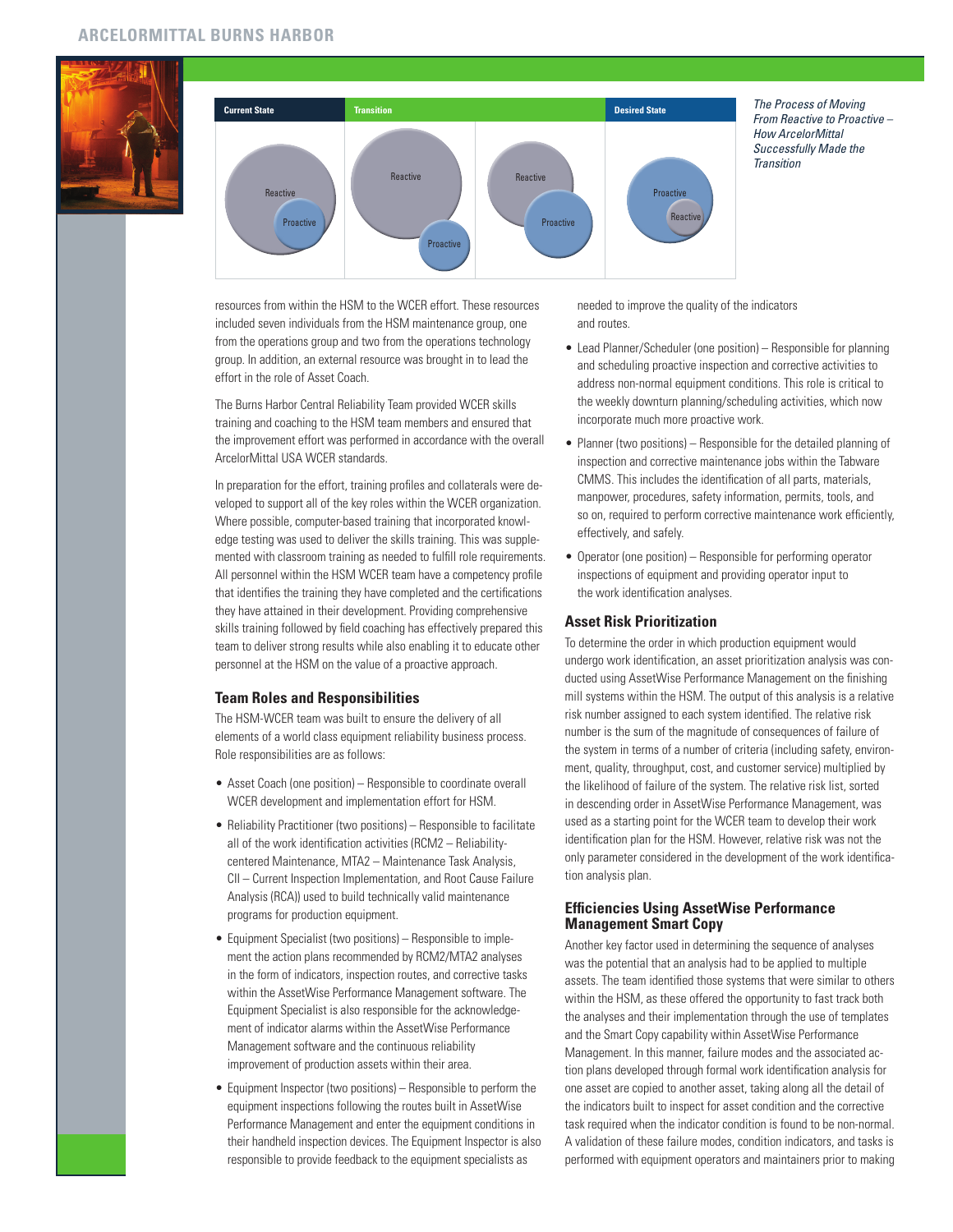



resources from within the HSM to the WCER effort. These resources included seven individuals from the HSM maintenance group, one from the operations group and two from the operations technology group. In addition, an external resource was brought in to lead the effort in the role of Asset Coach.

The Burns Harbor Central Reliability Team provided WCER skills training and coaching to the HSM team members and ensured that the improvement effort was performed in accordance with the overall ArcelorMittal USA WCER standards.

In preparation for the effort, training profiles and collaterals were developed to support all of the key roles within the WCER organization. Where possible, computer-based training that incorporated knowledge testing was used to deliver the skills training. This was supplemented with classroom training as needed to fulfill role requirements. All personnel within the HSM WCER team have a competency profile that identifies the training they have completed and the certifications they have attained in their development. Providing comprehensive skills training followed by field coaching has effectively prepared this team to deliver strong results while also enabling it to educate other personnel at the HSM on the value of a proactive approach.

#### **Team Roles and Responsibilities**

The HSM-WCER team was built to ensure the delivery of all elements of a world class equipment reliability business process. Role responsibilities are as follows:

- Asset Coach (one position) Responsible to coordinate overall WCER development and implementation effort for HSM.
- Reliability Practitioner (two positions) Responsible to facilitate all of the work identification activities (RCM2 – Reliabilitycentered Maintenance, MTA2 – Maintenance Task Analysis, CII – Current Inspection Implementation, and Root Cause Failure Analysis (RCA)) used to build technically valid maintenance programs for production equipment.
- Equipment Specialist (two positions) Responsible to implement the action plans recommended by RCM2/MTA2 analyses in the form of indicators, inspection routes, and corrective tasks within the AssetWise Performance Management software. The Equipment Specialist is also responsible for the acknowledgement of indicator alarms within the AssetWise Performance Management software and the continuous reliability improvement of production assets within their area.
- Equipment Inspector (two positions) Responsible to perform the equipment inspections following the routes built in AssetWise Performance Management and enter the equipment conditions in their handheld inspection devices. The Equipment Inspector is also responsible to provide feedback to the equipment specialists as

needed to improve the quality of the indicators and routes.

- Lead Planner/Scheduler (one position) Responsible for planning and scheduling proactive inspection and corrective activities to address non-normal equipment conditions. This role is critical to the weekly downturn planning/scheduling activities, which now incorporate much more proactive work.
- Planner (two positions) Responsible for the detailed planning of inspection and corrective maintenance jobs within the Tabware CMMS. This includes the identification of all parts, materials, manpower, procedures, safety information, permits, tools, and so on, required to perform corrective maintenance work efficiently, effectively, and safely.
- Operator (one position) Responsible for performing operator inspections of equipment and providing operator input to the work identification analyses.

## **Asset Risk Prioritization**

To determine the order in which production equipment would undergo work identification, an asset prioritization analysis was conducted using AssetWise Performance Management on the finishing mill systems within the HSM. The output of this analysis is a relative risk number assigned to each system identified. The relative risk number is the sum of the magnitude of consequences of failure of the system in terms of a number of criteria (including safety, environment, quality, throughput, cost, and customer service) multiplied by the likelihood of failure of the system. The relative risk list, sorted in descending order in AssetWise Performance Management, was used as a starting point for the WCER team to develop their work identification plan for the HSM. However, relative risk was not the only parameter considered in the development of the work identification analysis plan.

## **Efficiencies Using AssetWise Performance Management Smart Copy**

Another key factor used in determining the sequence of analyses was the potential that an analysis had to be applied to multiple assets. The team identified those systems that were similar to others within the HSM, as these offered the opportunity to fast track both the analyses and their implementation through the use of templates and the Smart Copy capability within AssetWise Performance Management. In this manner, failure modes and the associated action plans developed through formal work identification analysis for one asset are copied to another asset, taking along all the detail of the indicators built to inspect for asset condition and the corrective task required when the indicator condition is found to be non-normal. A validation of these failure modes, condition indicators, and tasks is performed with equipment operators and maintainers prior to making

*From Reactive to Proactive – How ArcelorMittal Successfully Made the Transition*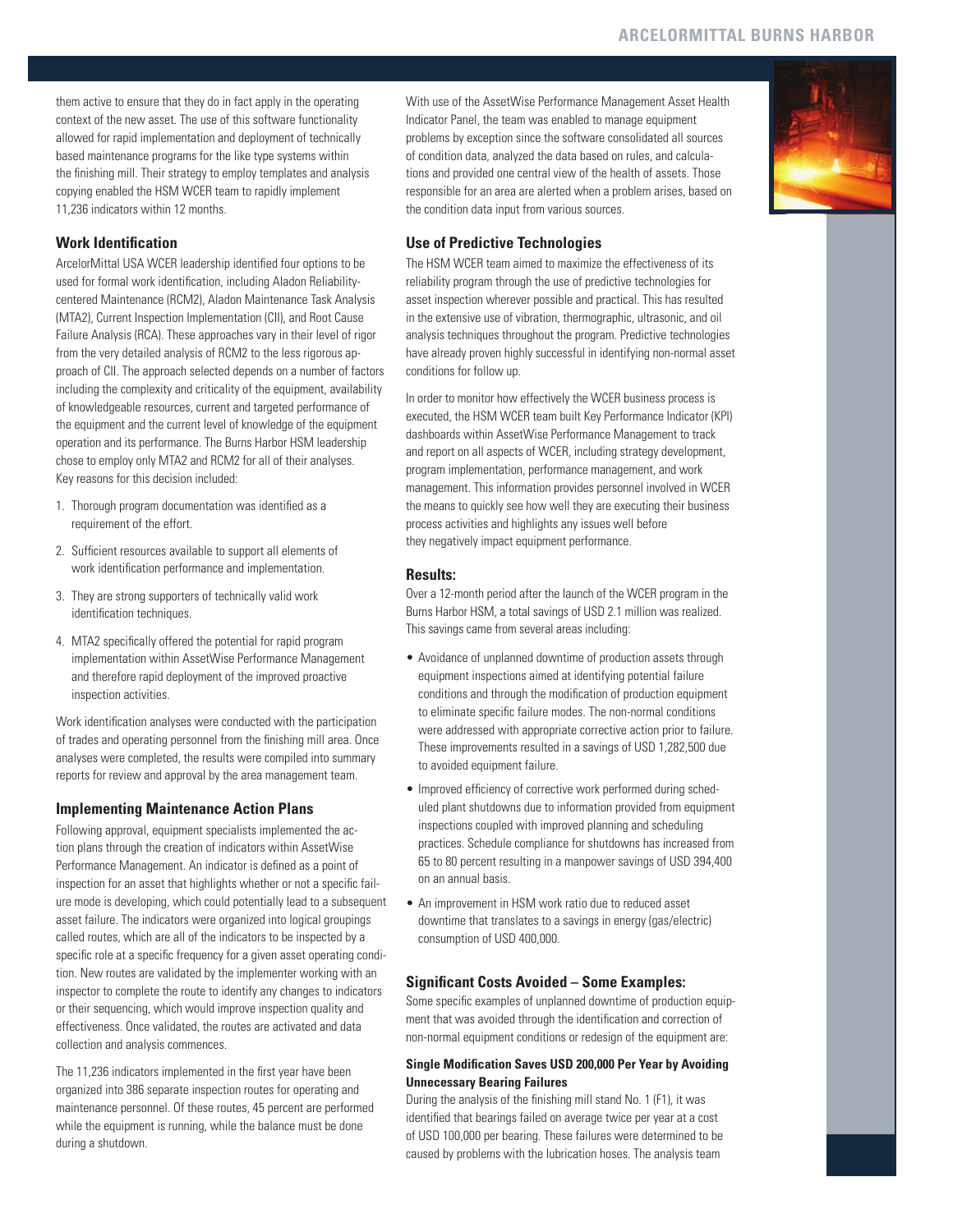them active to ensure that they do in fact apply in the operating context of the new asset. The use of this software functionality allowed for rapid implementation and deployment of technically based maintenance programs for the like type systems within the finishing mill. Their strategy to employ templates and analysis copying enabled the HSM WCER team to rapidly implement 11,236 indicators within 12 months.

# **Work Identification**

ArcelorMittal USA WCER leadership identified four options to be used for formal work identification, including Aladon Reliabilitycentered Maintenance (RCM2), Aladon Maintenance Task Analysis (MTA2), Current Inspection Implementation (CII), and Root Cause Failure Analysis (RCA). These approaches vary in their level of rigor from the very detailed analysis of RCM2 to the less rigorous approach of CII. The approach selected depends on a number of factors including the complexity and criticality of the equipment, availability of knowledgeable resources, current and targeted performance of the equipment and the current level of knowledge of the equipment operation and its performance. The Burns Harbor HSM leadership chose to employ only MTA2 and RCM2 for all of their analyses. Key reasons for this decision included:

- 1. Thorough program documentation was identified as a requirement of the effort.
- 2. Sufficient resources available to support all elements of work identification performance and implementation.
- 3. They are strong supporters of technically valid work identification techniques.
- 4. MTA2 specifically offered the potential for rapid program implementation within AssetWise Performance Management and therefore rapid deployment of the improved proactive inspection activities.

Work identification analyses were conducted with the participation of trades and operating personnel from the finishing mill area. Once analyses were completed, the results were compiled into summary reports for review and approval by the area management team.

## **Implementing Maintenance Action Plans**

Following approval, equipment specialists implemented the action plans through the creation of indicators within AssetWise Performance Management. An indicator is defined as a point of inspection for an asset that highlights whether or not a specific failure mode is developing, which could potentially lead to a subsequent asset failure. The indicators were organized into logical groupings called routes, which are all of the indicators to be inspected by a specific role at a specific frequency for a given asset operating condition. New routes are validated by the implementer working with an inspector to complete the route to identify any changes to indicators or their sequencing, which would improve inspection quality and effectiveness. Once validated, the routes are activated and data collection and analysis commences.

The 11,236 indicators implemented in the first year have been organized into 386 separate inspection routes for operating and maintenance personnel. Of these routes, 45 percent are performed while the equipment is running, while the balance must be done during a shutdown.

With use of the AssetWise Performance Management Asset Health Indicator Panel, the team was enabled to manage equipment problems by exception since the software consolidated all sources of condition data, analyzed the data based on rules, and calculations and provided one central view of the health of assets. Those responsible for an area are alerted when a problem arises, based on the condition data input from various sources.



## **Use of Predictive Technologies**

The HSM WCER team aimed to maximize the effectiveness of its reliability program through the use of predictive technologies for asset inspection wherever possible and practical. This has resulted in the extensive use of vibration, thermographic, ultrasonic, and oil analysis techniques throughout the program. Predictive technologies have already proven highly successful in identifying non-normal asset conditions for follow up.

In order to monitor how effectively the WCER business process is executed, the HSM WCER team built Key Performance Indicator (KPI) dashboards within AssetWise Performance Management to track and report on all aspects of WCER, including strategy development, program implementation, performance management, and work management. This information provides personnel involved in WCER the means to quickly see how well they are executing their business process activities and highlights any issues well before they negatively impact equipment performance.

#### **Results:**

Over a 12-month period after the launch of the WCER program in the Burns Harbor HSM, a total savings of USD 2.1 million was realized. This savings came from several areas including:

- Avoidance of unplanned downtime of production assets through equipment inspections aimed at identifying potential failure conditions and through the modification of production equipment to eliminate specific failure modes. The non-normal conditions were addressed with appropriate corrective action prior to failure. These improvements resulted in a savings of USD 1,282,500 due to avoided equipment failure.
- Improved efficiency of corrective work performed during scheduled plant shutdowns due to information provided from equipment inspections coupled with improved planning and scheduling practices. Schedule compliance for shutdowns has increased from 65 to 80 percent resulting in a manpower savings of USD 394,400 on an annual basis.
- An improvement in HSM work ratio due to reduced asset downtime that translates to a savings in energy (gas/electric) consumption of USD 400,000.

## **Significant Costs Avoided – Some Examples:**

Some specific examples of unplanned downtime of production equipment that was avoided through the identification and correction of non-normal equipment conditions or redesign of the equipment are:

## **Single Modification Saves USD 200,000 Per Year by Avoiding Unnecessary Bearing Failures**

During the analysis of the finishing mill stand No. 1 (F1), it was identified that bearings failed on average twice per year at a cost of USD 100,000 per bearing. These failures were determined to be caused by problems with the lubrication hoses. The analysis team